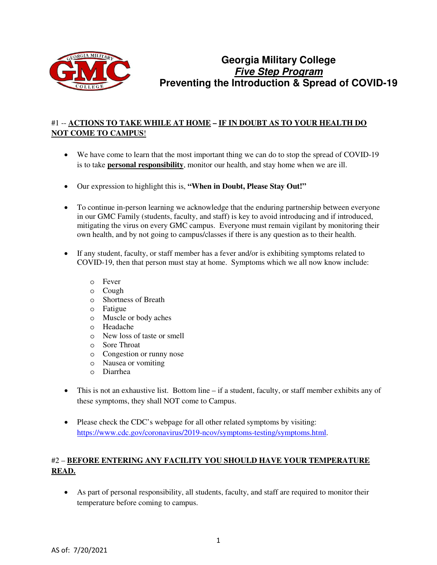

# **Georgia Military College Five Step Program Preventing the Introduction & Spread of COVID-19**

## #1 -- **ACTIONS TO TAKE WHILE AT HOME – IF IN DOUBT AS TO YOUR HEALTH DO NOT COME TO CAMPUS**!

- We have come to learn that the most important thing we can do to stop the spread of COVID-19 is to take **personal responsibility**, monitor our health, and stay home when we are ill.
- Our expression to highlight this is, **"When in Doubt, Please Stay Out!"**
- To continue in-person learning we acknowledge that the enduring partnership between everyone in our GMC Family (students, faculty, and staff) is key to avoid introducing and if introduced, mitigating the virus on every GMC campus. Everyone must remain vigilant by monitoring their own health, and by not going to campus/classes if there is any question as to their health.
- If any student, faculty, or staff member has a fever and/or is exhibiting symptoms related to COVID-19, then that person must stay at home. Symptoms which we all now know include:
	- o Fever
	- o Cough
	- o Shortness of Breath
	- o Fatigue
	- o Muscle or body aches
	- o Headache
	- o New loss of taste or smell
	- o Sore Throat
	- o Congestion or runny nose
	- o Nausea or vomiting
	- o Diarrhea
- This is not an exhaustive list. Bottom line if a student, faculty, or staff member exhibits any of these symptoms, they shall NOT come to Campus.
- Please check the CDC's webpage for all other related symptoms by visiting: [https://www.cdc.gov/coronavirus/2019-ncov/symptoms-testing/symptoms.html.](https://www.cdc.gov/coronavirus/2019-ncov/symptoms-testing/symptoms.html)

# #2 – **BEFORE ENTERING ANY FACILITY YOU SHOULD HAVE YOUR TEMPERATURE READ.**

• As part of personal responsibility, all students, faculty, and staff are required to monitor their temperature before coming to campus.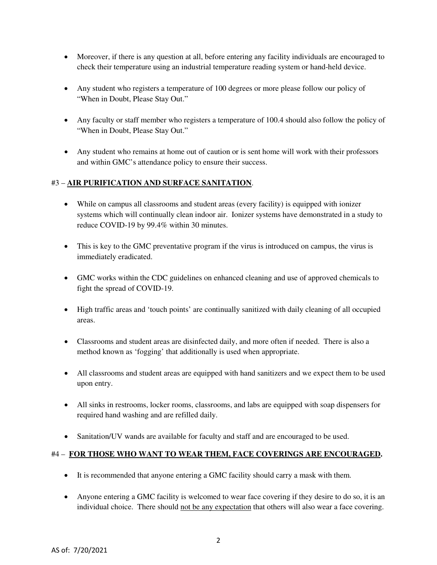- Moreover, if there is any question at all, before entering any facility individuals are encouraged to check their temperature using an industrial temperature reading system or hand-held device.
- Any student who registers a temperature of 100 degrees or more please follow our policy of "When in Doubt, Please Stay Out."
- Any faculty or staff member who registers a temperature of 100.4 should also follow the policy of "When in Doubt, Please Stay Out."
- Any student who remains at home out of caution or is sent home will work with their professors and within GMC's attendance policy to ensure their success.

#### #3 – **AIR PURIFICATION AND SURFACE SANITATION**.

- While on campus all classrooms and student areas (every facility) is equipped with ionizer systems which will continually clean indoor air. Ionizer systems have demonstrated in a study to reduce COVID-19 by 99.4% within 30 minutes.
- This is key to the GMC preventative program if the virus is introduced on campus, the virus is immediately eradicated.
- GMC works within the CDC guidelines on enhanced cleaning and use of approved chemicals to fight the spread of COVID-19.
- High traffic areas and 'touch points' are continually sanitized with daily cleaning of all occupied areas.
- Classrooms and student areas are disinfected daily, and more often if needed. There is also a method known as 'fogging' that additionally is used when appropriate.
- All classrooms and student areas are equipped with hand sanitizers and we expect them to be used upon entry.
- All sinks in restrooms, locker rooms, classrooms, and labs are equipped with soap dispensers for required hand washing and are refilled daily.
- Sanitation/UV wands are available for faculty and staff and are encouraged to be used.

#### #4 – **FOR THOSE WHO WANT TO WEAR THEM, FACE COVERINGS ARE ENCOURAGED.**

- It is recommended that anyone entering a GMC facility should carry a mask with them.
- Anyone entering a GMC facility is welcomed to wear face covering if they desire to do so, it is an individual choice. There should not be any expectation that others will also wear a face covering.